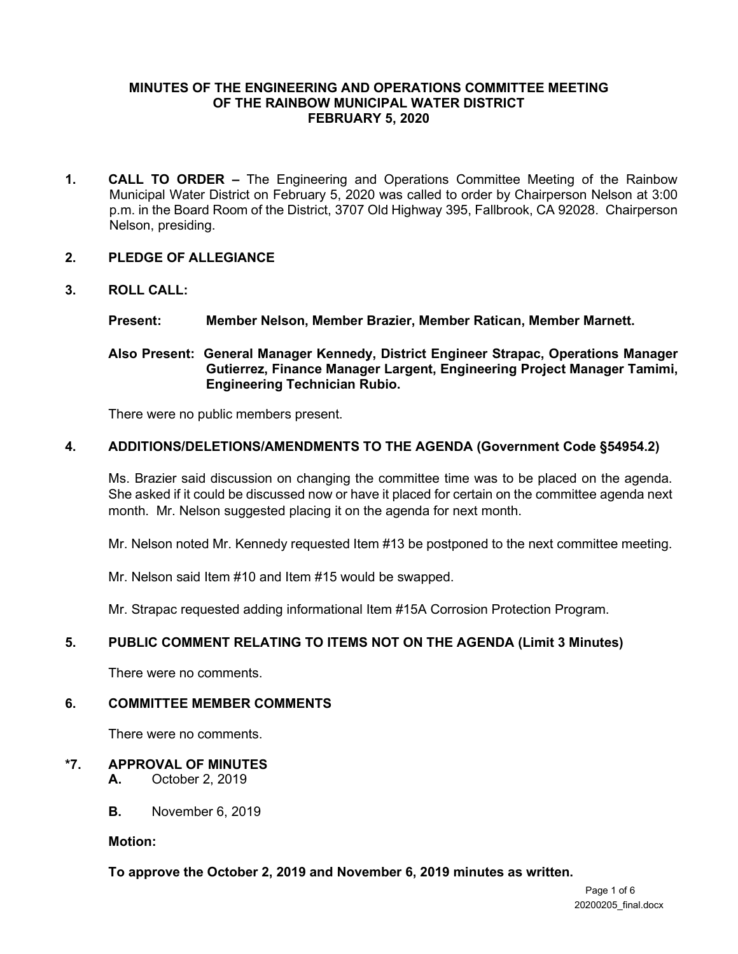#### **MINUTES OF THE ENGINEERING AND OPERATIONS COMMITTEE MEETING OF THE RAINBOW MUNICIPAL WATER DISTRICT FEBRUARY 5, 2020**

**1. CALL TO ORDER –** The Engineering and Operations Committee Meeting of the Rainbow Municipal Water District on February 5, 2020 was called to order by Chairperson Nelson at 3:00 p.m. in the Board Room of the District, 3707 Old Highway 395, Fallbrook, CA 92028. Chairperson Nelson, presiding.

#### **2. PLEDGE OF ALLEGIANCE**

#### **3. ROLL CALL:**

#### **Present: Member Nelson, Member Brazier, Member Ratican, Member Marnett.**

## **Also Present: General Manager Kennedy, District Engineer Strapac, Operations Manager Gutierrez, Finance Manager Largent, Engineering Project Manager Tamimi, Engineering Technician Rubio.**

There were no public members present.

#### **4. ADDITIONS/DELETIONS/AMENDMENTS TO THE AGENDA (Government Code §54954.2)**

Ms. Brazier said discussion on changing the committee time was to be placed on the agenda. She asked if it could be discussed now or have it placed for certain on the committee agenda next month. Mr. Nelson suggested placing it on the agenda for next month.

Mr. Nelson noted Mr. Kennedy requested Item #13 be postponed to the next committee meeting.

Mr. Nelson said Item #10 and Item #15 would be swapped.

Mr. Strapac requested adding informational Item #15A Corrosion Protection Program.

## **5. PUBLIC COMMENT RELATING TO ITEMS NOT ON THE AGENDA (Limit 3 Minutes)**

There were no comments.

#### **6. COMMITTEE MEMBER COMMENTS**

There were no comments.

## **\*7. APPROVAL OF MINUTES**

- **A.** October 2, 2019
- **B.** November 6, 2019

**Motion:** 

#### **To approve the October 2, 2019 and November 6, 2019 minutes as written.**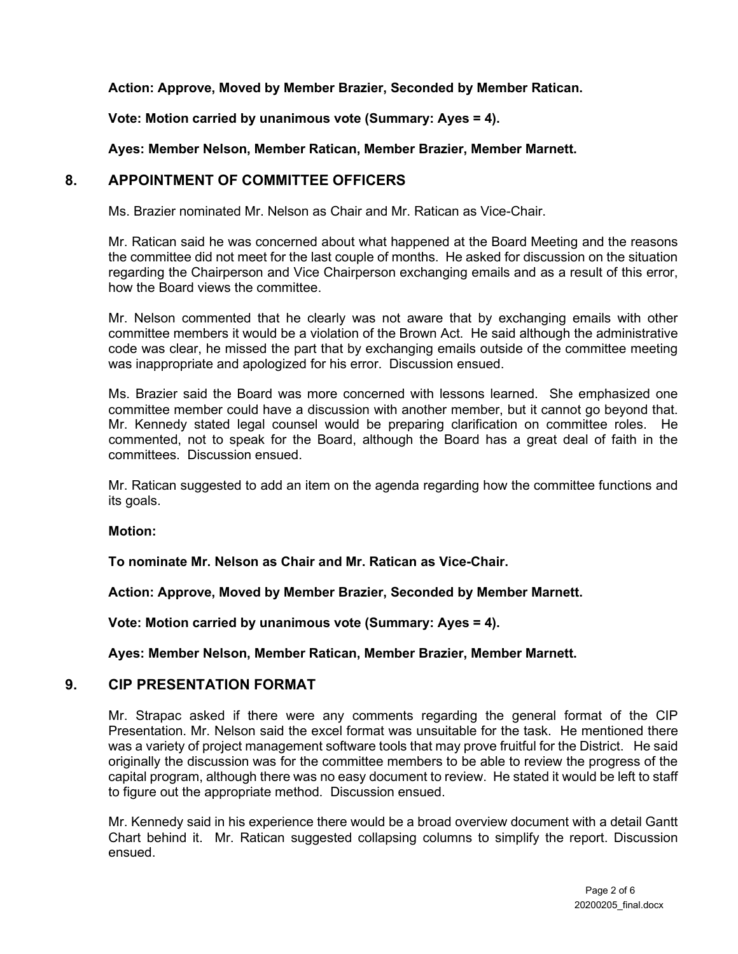## **Action: Approve, Moved by Member Brazier, Seconded by Member Ratican.**

## **Vote: Motion carried by unanimous vote (Summary: Ayes = 4).**

### **Ayes: Member Nelson, Member Ratican, Member Brazier, Member Marnett.**

## **8. APPOINTMENT OF COMMITTEE OFFICERS**

Ms. Brazier nominated Mr. Nelson as Chair and Mr. Ratican as Vice-Chair.

Mr. Ratican said he was concerned about what happened at the Board Meeting and the reasons the committee did not meet for the last couple of months. He asked for discussion on the situation regarding the Chairperson and Vice Chairperson exchanging emails and as a result of this error, how the Board views the committee.

Mr. Nelson commented that he clearly was not aware that by exchanging emails with other committee members it would be a violation of the Brown Act. He said although the administrative code was clear, he missed the part that by exchanging emails outside of the committee meeting was inappropriate and apologized for his error. Discussion ensued.

Ms. Brazier said the Board was more concerned with lessons learned. She emphasized one committee member could have a discussion with another member, but it cannot go beyond that. Mr. Kennedy stated legal counsel would be preparing clarification on committee roles. He commented, not to speak for the Board, although the Board has a great deal of faith in the committees. Discussion ensued.

Mr. Ratican suggested to add an item on the agenda regarding how the committee functions and its goals.

#### **Motion:**

**To nominate Mr. Nelson as Chair and Mr. Ratican as Vice-Chair.**

**Action: Approve, Moved by Member Brazier, Seconded by Member Marnett.**

**Vote: Motion carried by unanimous vote (Summary: Ayes = 4).**

**Ayes: Member Nelson, Member Ratican, Member Brazier, Member Marnett.**

## **9. CIP PRESENTATION FORMAT**

Mr. Strapac asked if there were any comments regarding the general format of the CIP Presentation. Mr. Nelson said the excel format was unsuitable for the task. He mentioned there was a variety of project management software tools that may prove fruitful for the District. He said originally the discussion was for the committee members to be able to review the progress of the capital program, although there was no easy document to review. He stated it would be left to staff to figure out the appropriate method. Discussion ensued.

Mr. Kennedy said in his experience there would be a broad overview document with a detail Gantt Chart behind it. Mr. Ratican suggested collapsing columns to simplify the report. Discussion ensued.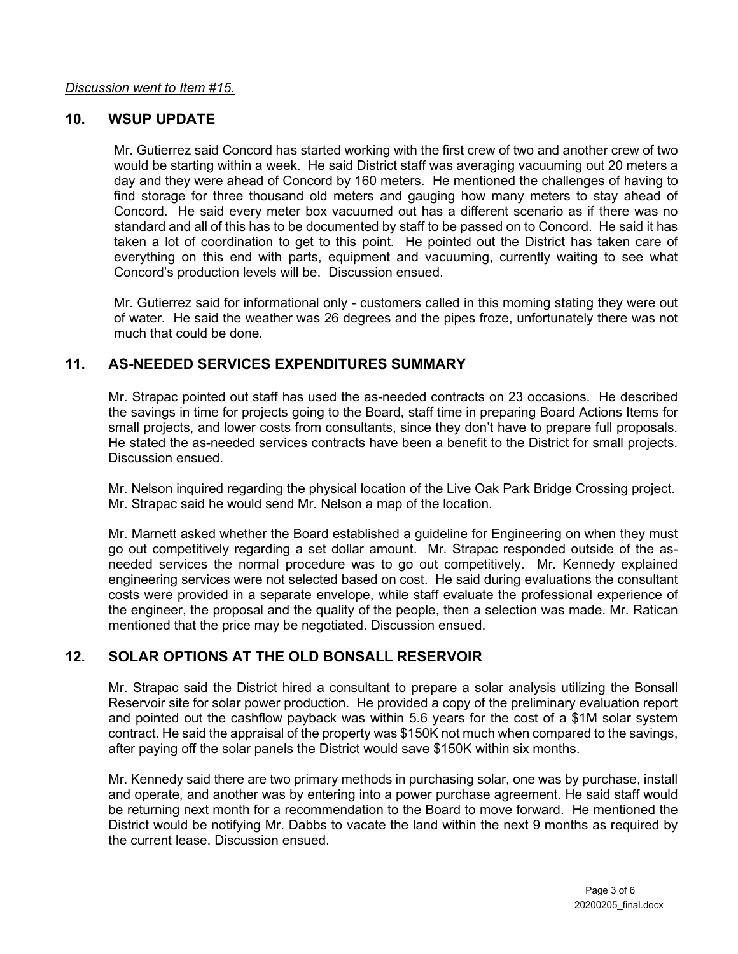## **10. WSUP UPDATE**

Mr. Gutierrez said Concord has started working with the first crew of two and another crew of two would be starting within a week. He said District staff was averaging vacuuming out 20 meters a day and they were ahead of Concord by 160 meters. He mentioned the challenges of having to find storage for three thousand old meters and gauging how many meters to stay ahead of Concord. He said every meter box vacuumed out has a different scenario as if there was no standard and all of this has to be documented by staff to be passed on to Concord. He said it has taken a lot of coordination to get to this point. He pointed out the District has taken care of everything on this end with parts, equipment and vacuuming, currently waiting to see what Concord's production levels will be. Discussion ensued.

Mr. Gutierrez said for informational only - customers called in this morning stating they were out of water. He said the weather was 26 degrees and the pipes froze, unfortunately there was not much that could be done.

## **11. AS-NEEDED SERVICES EXPENDITURES SUMMARY**

Mr. Strapac pointed out staff has used the as-needed contracts on 23 occasions. He described the savings in time for projects going to the Board, staff time in preparing Board Actions Items for small projects, and lower costs from consultants, since they don't have to prepare full proposals. He stated the as-needed services contracts have been a benefit to the District for small projects. Discussion ensued.

Mr. Nelson inquired regarding the physical location of the Live Oak Park Bridge Crossing project. Mr. Strapac said he would send Mr. Nelson a map of the location.

Mr. Marnett asked whether the Board established a guideline for Engineering on when they must go out competitively regarding a set dollar amount. Mr. Strapac responded outside of the asneeded services the normal procedure was to go out competitively. Mr. Kennedy explained engineering services were not selected based on cost. He said during evaluations the consultant costs were provided in a separate envelope, while staff evaluate the professional experience of the engineer, the proposal and the quality of the people, then a selection was made. Mr. Ratican mentioned that the price may be negotiated. Discussion ensued.

## **12. SOLAR OPTIONS AT THE OLD BONSALL RESERVOIR**

Mr. Strapac said the District hired a consultant to prepare a solar analysis utilizing the Bonsall Reservoir site for solar power production. He provided a copy of the preliminary evaluation report and pointed out the cashflow payback was within 5.6 years for the cost of a \$1M solar system contract. He said the appraisal of the property was \$150K not much when compared to the savings, after paying off the solar panels the District would save \$150K within six months.

Mr. Kennedy said there are two primary methods in purchasing solar, one was by purchase, install and operate, and another was by entering into a power purchase agreement. He said staff would be returning next month for a recommendation to the Board to move forward. He mentioned the District would be notifying Mr. Dabbs to vacate the land within the next 9 months as required by the current lease. Discussion ensued.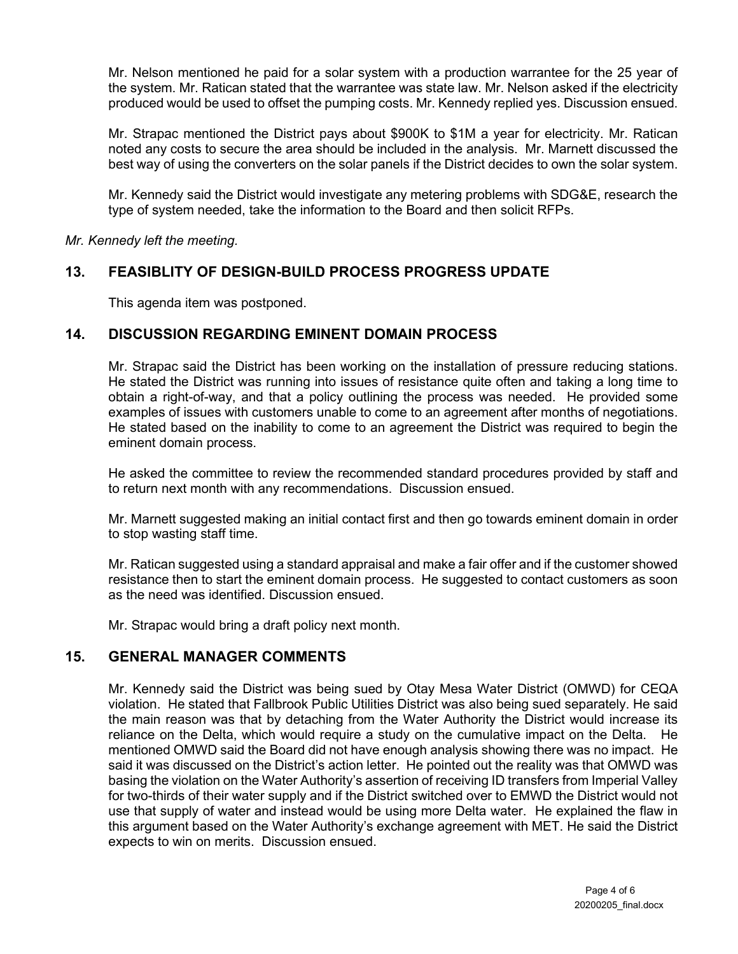Mr. Nelson mentioned he paid for a solar system with a production warrantee for the 25 year of the system. Mr. Ratican stated that the warrantee was state law. Mr. Nelson asked if the electricity produced would be used to offset the pumping costs. Mr. Kennedy replied yes. Discussion ensued.

Mr. Strapac mentioned the District pays about \$900K to \$1M a year for electricity. Mr. Ratican noted any costs to secure the area should be included in the analysis. Mr. Marnett discussed the best way of using the converters on the solar panels if the District decides to own the solar system.

Mr. Kennedy said the District would investigate any metering problems with SDG&E, research the type of system needed, take the information to the Board and then solicit RFPs.

*Mr. Kennedy left the meeting.* 

## **13. FEASIBLITY OF DESIGN-BUILD PROCESS PROGRESS UPDATE**

This agenda item was postponed.

## **14. DISCUSSION REGARDING EMINENT DOMAIN PROCESS**

Mr. Strapac said the District has been working on the installation of pressure reducing stations. He stated the District was running into issues of resistance quite often and taking a long time to obtain a right-of-way, and that a policy outlining the process was needed. He provided some examples of issues with customers unable to come to an agreement after months of negotiations. He stated based on the inability to come to an agreement the District was required to begin the eminent domain process.

He asked the committee to review the recommended standard procedures provided by staff and to return next month with any recommendations. Discussion ensued.

Mr. Marnett suggested making an initial contact first and then go towards eminent domain in order to stop wasting staff time.

Mr. Ratican suggested using a standard appraisal and make a fair offer and if the customer showed resistance then to start the eminent domain process. He suggested to contact customers as soon as the need was identified. Discussion ensued.

Mr. Strapac would bring a draft policy next month.

## **15. GENERAL MANAGER COMMENTS**

Mr. Kennedy said the District was being sued by Otay Mesa Water District (OMWD) for CEQA violation. He stated that Fallbrook Public Utilities District was also being sued separately. He said the main reason was that by detaching from the Water Authority the District would increase its reliance on the Delta, which would require a study on the cumulative impact on the Delta. He mentioned OMWD said the Board did not have enough analysis showing there was no impact. He said it was discussed on the District's action letter. He pointed out the reality was that OMWD was basing the violation on the Water Authority's assertion of receiving ID transfers from Imperial Valley for two-thirds of their water supply and if the District switched over to EMWD the District would not use that supply of water and instead would be using more Delta water. He explained the flaw in this argument based on the Water Authority's exchange agreement with MET. He said the District expects to win on merits. Discussion ensued.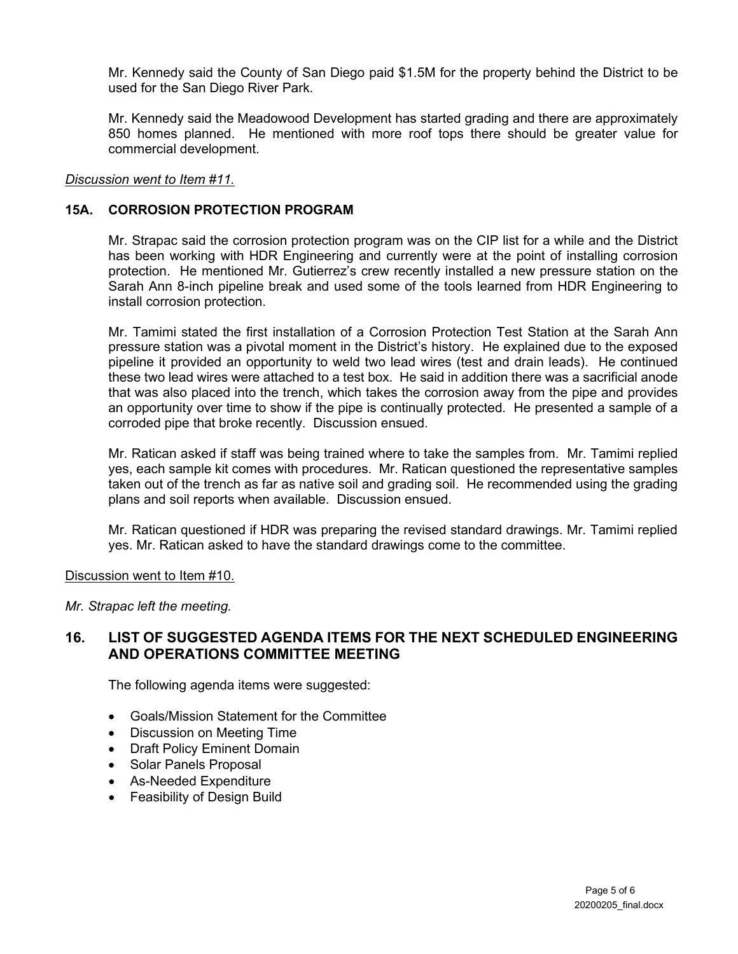Mr. Kennedy said the County of San Diego paid \$1.5M for the property behind the District to be used for the San Diego River Park.

Mr. Kennedy said the Meadowood Development has started grading and there are approximately 850 homes planned. He mentioned with more roof tops there should be greater value for commercial development.

#### *Discussion went to Item #11.*

#### **15A. CORROSION PROTECTION PROGRAM**

Mr. Strapac said the corrosion protection program was on the CIP list for a while and the District has been working with HDR Engineering and currently were at the point of installing corrosion protection. He mentioned Mr. Gutierrez's crew recently installed a new pressure station on the Sarah Ann 8-inch pipeline break and used some of the tools learned from HDR Engineering to install corrosion protection.

Mr. Tamimi stated the first installation of a Corrosion Protection Test Station at the Sarah Ann pressure station was a pivotal moment in the District's history. He explained due to the exposed pipeline it provided an opportunity to weld two lead wires (test and drain leads). He continued these two lead wires were attached to a test box. He said in addition there was a sacrificial anode that was also placed into the trench, which takes the corrosion away from the pipe and provides an opportunity over time to show if the pipe is continually protected. He presented a sample of a corroded pipe that broke recently. Discussion ensued.

Mr. Ratican asked if staff was being trained where to take the samples from. Mr. Tamimi replied yes, each sample kit comes with procedures. Mr. Ratican questioned the representative samples taken out of the trench as far as native soil and grading soil. He recommended using the grading plans and soil reports when available. Discussion ensued.

Mr. Ratican questioned if HDR was preparing the revised standard drawings. Mr. Tamimi replied yes. Mr. Ratican asked to have the standard drawings come to the committee.

Discussion went to Item #10.

#### *Mr. Strapac left the meeting.*

## **16. LIST OF SUGGESTED AGENDA ITEMS FOR THE NEXT SCHEDULED ENGINEERING AND OPERATIONS COMMITTEE MEETING**

The following agenda items were suggested:

- Goals/Mission Statement for the Committee
- Discussion on Meeting Time
- Draft Policy Eminent Domain
- Solar Panels Proposal
- As-Needed Expenditure
- Feasibility of Design Build